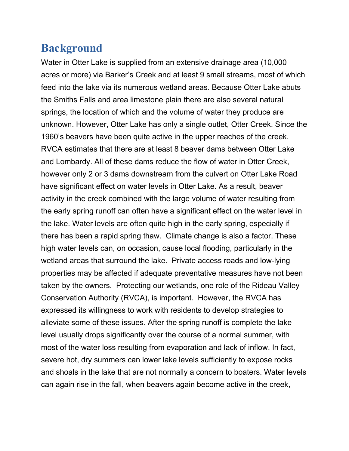## **Background**

Water in Otter Lake is supplied from an extensive drainage area (10,000 acres or more) via Barker's Creek and at least 9 small streams, most of which feed into the lake via its numerous wetland areas. Because Otter Lake abuts the Smiths Falls and area limestone plain there are also several natural springs, the location of which and the volume of water they produce are unknown. However, Otter Lake has only a single outlet, Otter Creek. Since the 1960's beavers have been quite active in the upper reaches of the creek. RVCA estimates that there are at least 8 beaver dams between Otter Lake and Lombardy. All of these dams reduce the flow of water in Otter Creek, however only 2 or 3 dams downstream from the culvert on Otter Lake Road have significant effect on water levels in Otter Lake. As a result, beaver activity in the creek combined with the large volume of water resulting from the early spring runoff can often have a significant effect on the water level in the lake. Water levels are often quite high in the early spring, especially if there has been a rapid spring thaw. Climate change is also a factor. These high water levels can, on occasion, cause local flooding, particularly in the wetland areas that surround the lake. Private access roads and low-lying properties may be affected if adequate preventative measures have not been taken by the owners. Protecting our wetlands, one role of the Rideau Valley Conservation Authority (RVCA), is important. However, the RVCA has expressed its willingness to work with residents to develop strategies to alleviate some of these issues. After the spring runoff is complete the lake level usually drops significantly over the course of a normal summer, with most of the water loss resulting from evaporation and lack of inflow. In fact, severe hot, dry summers can lower lake levels sufficiently to expose rocks and shoals in the lake that are not normally a concern to boaters. Water levels can again rise in the fall, when beavers again become active in the creek,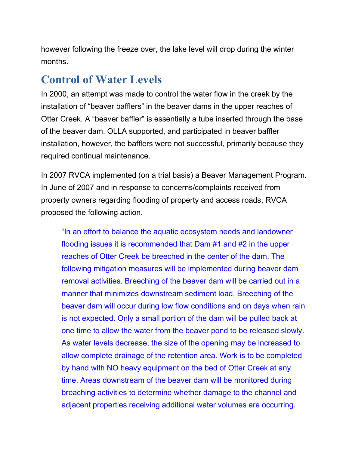however following the freeze over, the lake level will drop during the winter months.

## Control of Water Levels

In 2000, an attempt was made to control the water flow in the creek by the installation of "beaver bafflers" in the beaver dams in the upper reaches of Otter Creek. A "beaver baffler" is essentially a tube inserted through the base of the beaver dam. OLLA supported, and participated in beaver baffler installation, however, the bafflers were not successful, primarily because they required continual maintenance.

In 2007 RVCA implemented (on a trial basis) a Beaver Management Program. In June of 2007 and in response to concerns/complaints received from property owners regarding flooding of property and access roads, RVCA proposed the following action.

"In an effort to balance the aquatic ecosystem needs and landowner flooding issues it is recommended that Dam #1 and #2 in the upper reaches of Otter Creek be breeched in the center of the dam. The following mitigation measures will be implemented during beaver dam removal activities. Breeching of the beaver dam will be carried out in a manner that minimizes downstream sediment load. Breeching of the beaver dam will occur during low flow conditions and on days when rain is not expected. Only a small portion of the dam will be pulled back at one time to allow the water from the beaver pond to be released slowly. As water levels decrease, the size of the opening may be increased to allow complete drainage of the retention area. Work is to be completed by hand with NO heavy equipment on the bed of Otter Creek at any time. Areas downstream of the beaver dam will be monitored during breaching activities to determine whether damage to the channel and adjacent properties receiving additional water volumes are occurring.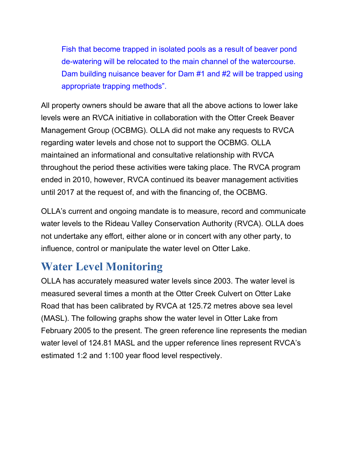Fish that become trapped in isolated pools as a result of beaver pond de-watering will be relocated to the main channel of the watercourse. Dam building nuisance beaver for Dam #1 and #2 will be trapped using appropriate trapping methods".

All property owners should be aware that all the above actions to lower lake levels were an RVCA initiative in collaboration with the Otter Creek Beaver Management Group (OCBMG). OLLA did not make any requests to RVCA regarding water levels and chose not to support the OCBMG. OLLA maintained an informational and consultative relationship with RVCA throughout the period these activities were taking place. The RVCA program ended in 2010, however, RVCA continued its beaver management activities until 2017 at the request of, and with the financing of, the OCBMG.

OLLA's current and ongoing mandate is to measure, record and communicate water levels to the Rideau Valley Conservation Authority (RVCA). OLLA does not undertake any effort, either alone or in concert with any other party, to influence, control or manipulate the water level on Otter Lake.

## Water Level Monitoring

OLLA has accurately measured water levels since 2003. The water level is measured several times a month at the Otter Creek Culvert on Otter Lake Road that has been calibrated by RVCA at 125.72 metres above sea level (MASL). The following graphs show the water level in Otter Lake from February 2005 to the present. The green reference line represents the median water level of 124.81 MASL and the upper reference lines represent RVCA's estimated 1:2 and 1:100 year flood level respectively.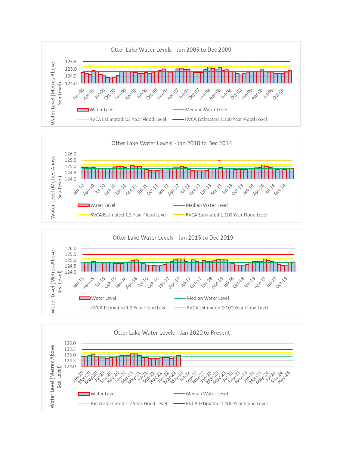